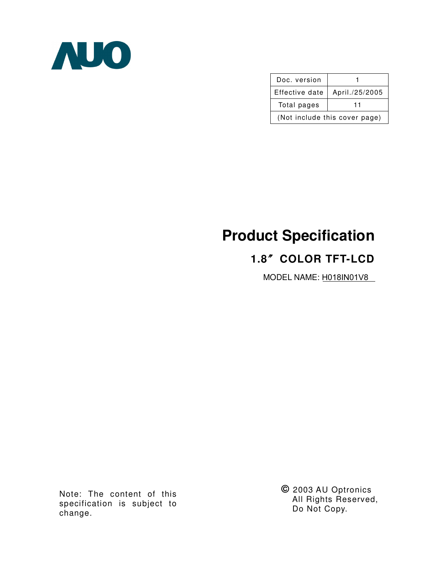

| Doc. version                  |                |  |  |  |  |
|-------------------------------|----------------|--|--|--|--|
| Effective date                | April./25/2005 |  |  |  |  |
| Total pages                   | 11             |  |  |  |  |
| (Not include this cover page) |                |  |  |  |  |

# **Product Specification**

## **1.8**ϛ**COLOR TFT-LCD**

MODEL NAME: H018IN01V8

Note: The content of this specification is subject to change.

**©** 2003 AU Optronics All Rights Reserved, Do Not Copy.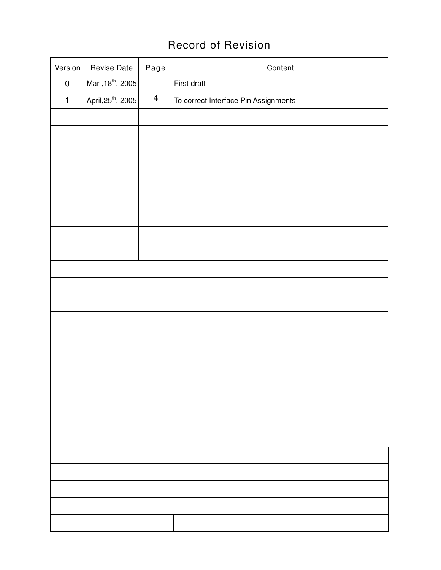## Record of Revision

| Version      | Revise Date                    | Page                    | Content                              |
|--------------|--------------------------------|-------------------------|--------------------------------------|
| $\pmb{0}$    | Mar , 18 <sup>th</sup> , 2005  |                         | First draft                          |
| $\mathbf{1}$ | April, 25 <sup>th</sup> , 2005 | $\overline{\mathbf{4}}$ | To correct Interface Pin Assignments |
|              |                                |                         |                                      |
|              |                                |                         |                                      |
|              |                                |                         |                                      |
|              |                                |                         |                                      |
|              |                                |                         |                                      |
|              |                                |                         |                                      |
|              |                                |                         |                                      |
|              |                                |                         |                                      |
|              |                                |                         |                                      |
|              |                                |                         |                                      |
|              |                                |                         |                                      |
|              |                                |                         |                                      |
|              |                                |                         |                                      |
|              |                                |                         |                                      |
|              |                                |                         |                                      |
|              |                                |                         |                                      |
|              |                                |                         |                                      |
|              |                                |                         |                                      |
|              |                                |                         |                                      |
|              |                                |                         |                                      |
|              |                                |                         |                                      |
|              |                                |                         |                                      |
|              |                                |                         |                                      |
|              |                                |                         |                                      |
|              |                                |                         |                                      |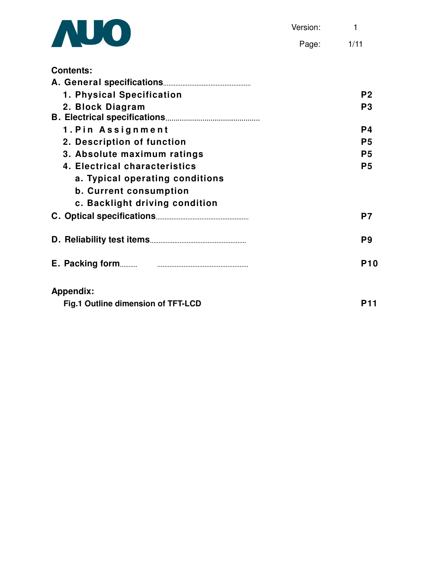

Page: 1/11

| <b>Contents:</b>                   |                |
|------------------------------------|----------------|
|                                    |                |
| 1. Physical Specification          | P <sub>2</sub> |
| 2. Block Diagram                   | P <sub>3</sub> |
|                                    |                |
| 1. Pin Assignment                  | P4             |
| 2. Description of function         | P <sub>5</sub> |
| 3. Absolute maximum ratings        | P <sub>5</sub> |
| 4. Electrical characteristics      | P <sub>5</sub> |
| a. Typical operating conditions    |                |
| <b>b. Current consumption</b>      |                |
| c. Backlight driving condition     |                |
|                                    | P7             |
|                                    | P9             |
| E. Packing form                    | <b>P10</b>     |
| <b>Appendix:</b>                   |                |
| Fig.1 Outline dimension of TFT-LCD | <b>P11</b>     |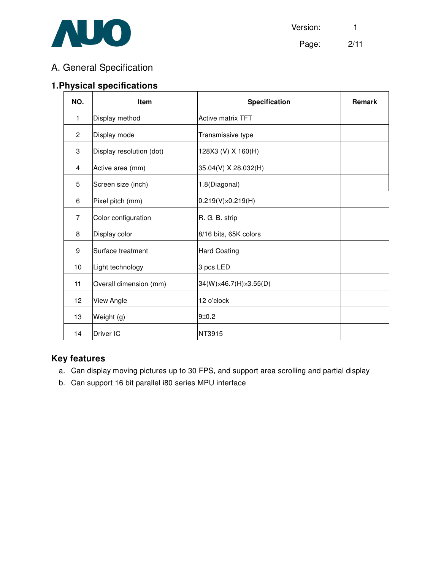

## A. General Specification

## **1.Physical specifications**

| NO.            | <b>Item</b>              | Specification                       | <b>Remark</b> |
|----------------|--------------------------|-------------------------------------|---------------|
| 1              | Display method           | <b>Active matrix TFT</b>            |               |
| $\overline{c}$ | Display mode             | Transmissive type                   |               |
| 3              | Display resolution (dot) | 128X3 (V) X 160(H)                  |               |
| 4              | Active area (mm)         | 35.04(V) X 28.032(H)                |               |
| 5              | Screen size (inch)       | 1.8(Diagonal)                       |               |
| 6              | Pixel pitch (mm)         | $0.219(V)\times 0.219(H)$           |               |
| $\overline{7}$ | Color configuration      | R. G. B. strip                      |               |
| 8              | Display color            | 8/16 bits, 65K colors               |               |
| 9              | Surface treatment        | <b>Hard Coating</b>                 |               |
| 10             | Light technology         | 3 pcs LED                           |               |
| 11             | Overall dimension (mm)   | $34(W)\times 46.7(H)\times 3.55(D)$ |               |
| 12             | View Angle               | 12 o'clock                          |               |
| 13             | Weight (g)               | 9±0.2                               |               |
| 14             | Driver IC                | NT3915                              |               |

#### **Key features**

- a. Can display moving pictures up to 30 FPS, and support area scrolling and partial display
- b. Can support 16 bit parallel i80 series MPU interface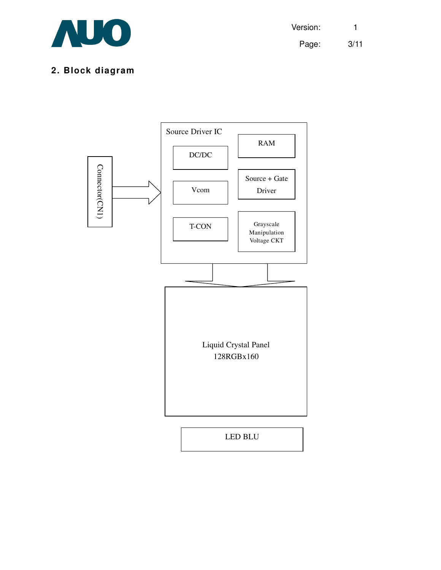

Version: 1 Page: 3/11

## **2. Block diagram**

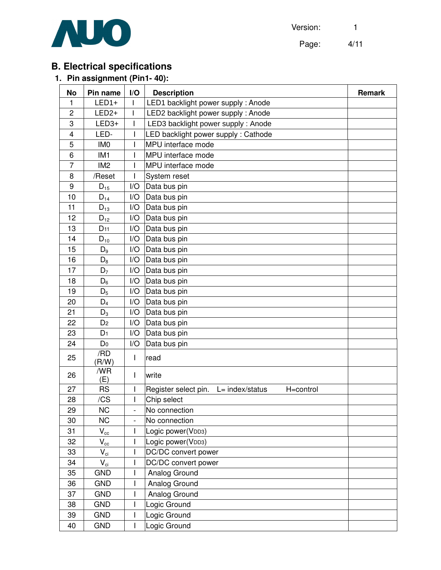

Page: 4/11

## **B. Electrical specifications**

## **1. Pin assignment (Pin1- 40):**

| <b>No</b>      | Pin name                   | I/O                      | <b>Description</b>                                      | <b>Remark</b> |
|----------------|----------------------------|--------------------------|---------------------------------------------------------|---------------|
| 1              | $LED1+$                    | $\mathbf{I}$             | LED1 backlight power supply: Anode                      |               |
| $\overline{c}$ | $LED2+$                    | $\mathsf{I}$             | LED2 backlight power supply : Anode                     |               |
| 3              | $LED3+$                    |                          | LED3 backlight power supply: Anode                      |               |
| $\overline{4}$ | LED-                       |                          | LED backlight power supply : Cathode                    |               |
| 5              | IM <sub>0</sub>            |                          | MPU interface mode                                      |               |
| $6\phantom{1}$ | IM <sub>1</sub>            |                          | MPU interface mode                                      |               |
| $\overline{7}$ | IM <sub>2</sub>            | L                        | MPU interface mode                                      |               |
| 8              | /Reset                     |                          | System reset                                            |               |
| 9              | $D_{15}$                   | I/O                      | Data bus pin                                            |               |
| 10             | $D_{14}$                   | I/O                      | Data bus pin                                            |               |
| 11             | $D_{13}$                   | I/O                      | Data bus pin                                            |               |
| 12             | $D_{12}$                   | I/O                      | Data bus pin                                            |               |
| 13             | $D_{11}$                   | I/O                      | Data bus pin                                            |               |
| 14             | $\mathsf{D}_{\mathsf{10}}$ | I/O                      | Data bus pin                                            |               |
| 15             | $D_9$                      | I/O                      | Data bus pin                                            |               |
| 16             | $D_8$                      | I/O                      | Data bus pin                                            |               |
| 17             | $D_7$                      | I/O                      | Data bus pin                                            |               |
| 18             | $D_6$                      | I/O                      | Data bus pin                                            |               |
| 19             | $D_5$                      | I/O                      | Data bus pin                                            |               |
| 20             | $D_4$                      | I/O                      | Data bus pin                                            |               |
| 21             | $D_3$                      | I/O                      | Data bus pin                                            |               |
| 22             | D <sub>2</sub>             | I/O                      | Data bus pin                                            |               |
| 23             | D <sub>1</sub>             | I/O                      | Data bus pin                                            |               |
| 24             | D <sub>0</sub>             | I/O                      | Data bus pin                                            |               |
| 25             | /RD<br>(R/W)               | $\mathbf{I}$             | read                                                    |               |
| 26             | /WR<br>(E)                 | $\mathsf{I}$             | write                                                   |               |
| 27             | <b>RS</b>                  | L                        | Register select pin.<br>$L = index/status$<br>H=control |               |
| 28             | /CS                        | $\mathsf{I}$             | Chip select                                             |               |
| 29             | NС                         | $\overline{\phantom{a}}$ | No connection                                           |               |
| 30             | <b>NC</b>                  |                          | No connection                                           |               |
| 31             | $\mathsf{V}_{\mathrm{cc}}$ |                          | Logic power(VDD3)                                       |               |
| 32             | $V_{cc}$                   | $\mathbf{I}$             | Logic power(VDD3)                                       |               |
| 33             | $V_{ci}$                   | I                        | DC/DC convert power                                     |               |
| 34             | $V_{ci}$                   | L                        | DC/DC convert power                                     |               |
| 35             | <b>GND</b>                 |                          | Analog Ground                                           |               |
| 36             | <b>GND</b>                 |                          | Analog Ground                                           |               |
| 37             | <b>GND</b>                 |                          | Analog Ground                                           |               |
| 38             | <b>GND</b>                 |                          | Logic Ground                                            |               |
| 39             | <b>GND</b>                 | L                        | Logic Ground                                            |               |
| 40             | <b>GND</b>                 |                          | Logic Ground                                            |               |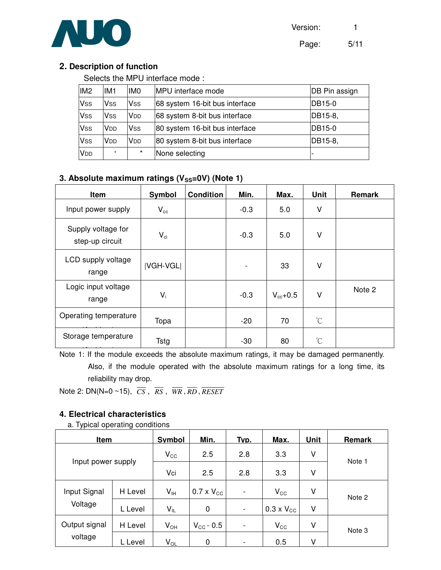Version: 1



Page: 5/11

#### **2. Description of function**

Selects the MPU interface mode :

| IM <sub>2</sub> | IM <sub>1</sub>      | <b>IMO</b>             | MPU interface mode             | DB Pin assign |
|-----------------|----------------------|------------------------|--------------------------------|---------------|
| <b>Vss</b>      | Vss                  | Vss                    | 68 system 16-bit bus interface | DB15-0        |
| <b>Vss</b>      | <b>Vss</b>           | <b>V</b> <sub>DD</sub> | 68 system 8-bit bus interface  | DB15-8,       |
| <b>Vss</b>      | V <sub>DD</sub>      | <b>Vss</b>             | 80 system 16-bit bus interface | DB15-0        |
| <b>Vss</b>      | V <sub>DD</sub>      | V <sub>DD</sub>        | 80 system 8-bit bus interface  | DB15-8,       |
| V <sub>DD</sub> | $\ddot{\phantom{1}}$ | $\star$                | None selecting                 |               |

#### **3.** Absolute maximum ratings (V<sub>SS</sub>=0V) (Note 1)

| Item                                  | Symbol           | <b>Condition</b> | Min.   | Max.          | <b>Unit</b> | Remark |
|---------------------------------------|------------------|------------------|--------|---------------|-------------|--------|
| Input power supply                    | $V_{cc}$         |                  | $-0.3$ | 5.0           | V           |        |
| Supply voltage for<br>step-up circuit | $V_{ci}$         |                  | $-0.3$ | 5.0           | V           |        |
| LCD supply voltage<br>range           | <b>IVGH-VGLI</b> |                  | -      | 33            | V           |        |
| Logic input voltage<br>range          | $V_i$            |                  | $-0.3$ | $V_{cc}$ +0.5 | V           | Note 2 |
| Operating temperature                 | Topa             |                  | $-20$  | 70            | $^{\circ}C$ |        |
| Storage temperature                   | Tstg             |                  | -30    | 80            | $^{\circ}C$ |        |

Note 1: If the module exceeds the absolute maximum ratings, it may be damaged permanently. Also, if the module operated with the absolute maximum ratings for a long time, its reliability may drop.

Note 2: DN(N=0 ~15),  $\overline{CS}$ ,  $\overline{RS}$ ,  $\overline{WR}$ ,  $\overline{RD}$ ,  $\overline{RESET}$ 

#### **4. Electrical characteristics**

#### a. Typical operating conditions

| <b>Item</b>        |              | <b>Symbol</b> | Min.                  | Typ.                     | Max.                | <b>Unit</b> | <b>Remark</b> |
|--------------------|--------------|---------------|-----------------------|--------------------------|---------------------|-------------|---------------|
|                    | $V_{\rm CC}$ | 2.5           | 2.8                   | 3.3                      | V                   |             |               |
| Input power supply |              | Vci           | 2.5                   | 2.8                      | 3.3                 | V           | Note 1        |
| Input Signal       | H Level      | $V_{\sf IH}$  | $0.7 \times V_{CC}$   | $\overline{\phantom{0}}$ | $V_{\rm CC}$        | ٧           | Note 2        |
| Voltage            | L Level      | $V_{IL}$      | 0                     | -                        | $0.3 \times V_{CC}$ | V           |               |
| Output signal      | H Level      | $V_{OH}$      | $V_{\text{CC}}$ - 0.5 | $\overline{\phantom{a}}$ | $V_{\rm CC}$        | ٧           | Note 3        |
| voltage            | L Level      | $V_{OL}$      | 0                     | ۰                        | 0.5                 | v           |               |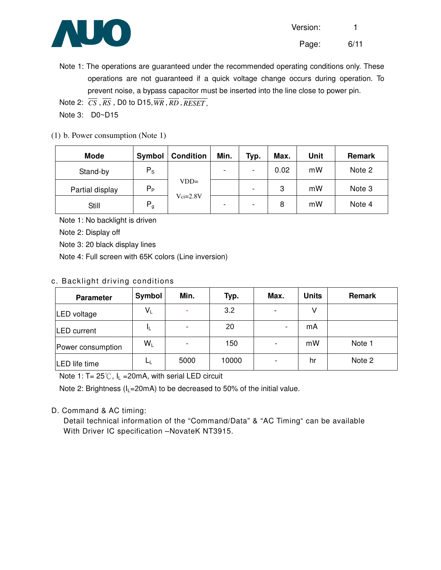

Page: 6/11

Note 1: The operations are guaranteed under the recommended operating conditions only. These operations are not guaranteed if a quick voltage change occurs during operation. To prevent noise, a bypass capacitor must be inserted into the line close to power pin.

Note 2:  $\overline{CS}$ ,  $\overline{RS}$ , D0 to D15,  $\overline{WR}$ ,  $\overline{RD}$ ,  $\overline{RESET}$ ,

Note 3: D0~D15

#### (1) b. Power consumption (Note 1)

| <b>Mode</b>     | Symbol  | <b>Condition</b> | Min. | Typ.                     | Max. | Unit | Remark |
|-----------------|---------|------------------|------|--------------------------|------|------|--------|
| Stand-by        | $P_{S}$ |                  |      | $\overline{\phantom{a}}$ | 0.02 | mW   | Note 2 |
| Partial display | $P_P$   | $VDD=$           |      | $\overline{\phantom{a}}$ | 3    | mW   | Note 3 |
| Still           | $P_g$   | $Vci=2.8V$       |      | $\overline{\phantom{a}}$ | 8    | mW   | Note 4 |

Note 1: No backlight is driven

Note 2: Display off

Note 3: 20 black display lines

Note 4: Full screen with 65K colors (Line inversion)

#### c. Back light driving conditions

| <b>Parameter</b>    | Symbol | Min. | Typ.  | Max. | <b>Units</b> | <b>Remark</b> |
|---------------------|--------|------|-------|------|--------------|---------------|
| LED voltage         | $V_L$  | ۰    | 3.2   | -    |              |               |
| <b>ILED</b> current | IL.    |      | 20    | ۰    | mA           |               |
| Power consumption   | $W_L$  |      | 150   |      | mW           | Note 1        |
| LED life time       | ட      | 5000 | 10000 |      | hr           | Note 2        |

Note 1: T=  $25^{\circ}$ C, I<sub>L</sub> = 20mA, with serial LED circuit

Note 2: Brightness ( $I_L$ =20mA) to be decreased to 50% of the initial value.

#### D. Command & AC timing:

Detail technical information of the "Command/Data" & "AC Timing" can be available With Driver IC specification -NovateK NT3915.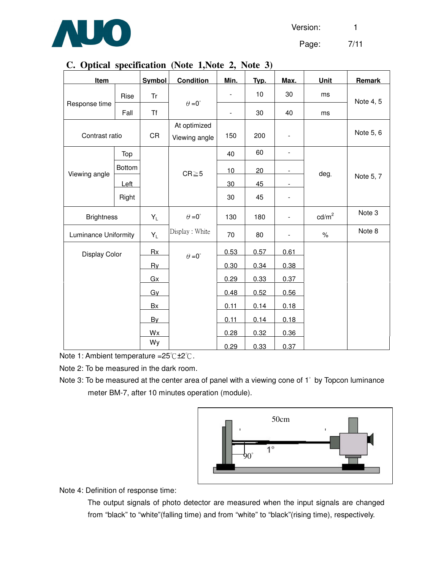Version: 1



Page: 7/11

### **C. Optical specification (Note 1,Note 2, Note 3)**

| Item                        |        | <b>Symbol</b> | <b>Condition</b>     | Min.                     | Typ. | Max.                         | Unit              | Remark    |
|-----------------------------|--------|---------------|----------------------|--------------------------|------|------------------------------|-------------------|-----------|
|                             |        |               |                      |                          |      |                              |                   |           |
|                             | Rise   | Tr            | $\theta = 0^{\circ}$ | $\overline{\phantom{a}}$ | 10   | 30                           | ms                | Note 4, 5 |
| Response time               | Fall   | <b>Tf</b>     |                      | $\blacksquare$           | 30   | 40                           | ms                |           |
|                             |        |               | At optimized         |                          |      |                              |                   |           |
| Contrast ratio              |        | CR            | Viewing angle        | 150                      | 200  | $\blacksquare$               |                   | Note 5, 6 |
|                             | Top    |               |                      | 40                       | 60   | $\qquad \qquad \blacksquare$ |                   |           |
| Viewing angle               | Bottom |               | $CR \ge 5$           | 10                       | 20   |                              |                   |           |
|                             | Left   |               |                      | 30                       | 45   | $\blacksquare$               | deg.              | Note 5, 7 |
|                             | Right  |               |                      | 30                       | 45   | $\blacksquare$               |                   |           |
| <b>Brightness</b>           |        | $Y_L$         | $\theta = 0^{\circ}$ | 130                      | 180  | Ξ.                           | cd/m <sup>2</sup> | Note 3    |
| <b>Luminance Uniformity</b> |        | $Y_L$         | Display: White       | 70                       | 80   |                              | $\%$              | Note 8    |
| <b>Display Color</b>        |        | Rx            | $\theta = 0^{\circ}$ | 0.53                     | 0.57 | 0.61                         |                   |           |
|                             |        | Ry            |                      | 0.30                     | 0.34 | 0.38                         |                   |           |
|                             |        | Gx            |                      | 0.29                     | 0.33 | 0.37                         |                   |           |
|                             |        | Gy            |                      | 0.48                     | 0.52 | 0.56                         |                   |           |
|                             |        | Bx            |                      | 0.11                     | 0.14 | 0.18                         |                   |           |
|                             |        | By            |                      | 0.11                     | 0.14 | 0.18                         |                   |           |
|                             |        | Wx            |                      | 0.28                     | 0.32 | 0.36                         |                   |           |
|                             |        | Wy            |                      | 0.29                     | 0.33 | 0.37                         |                   |           |

Note 1: Ambient temperature =  $25^{\circ}$ C +  $2^{\circ}$ C.

Note 2: To be measured in the dark room.

Note 3: To be measured at the center area of panel with a viewing cone of 1° by Topcon luminance meter BM-7, after 10 minutes operation (module).



Note 4: Definition of response time:

The output signals of photo detector are measured when the input signals are changed from "black" to "white"(falling time) and from "white" to "black"(rising time), respectively.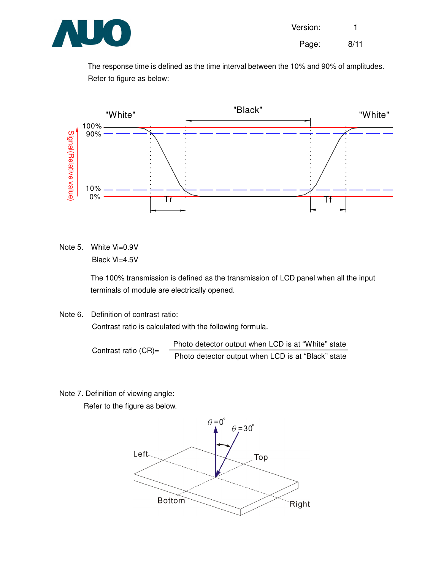

Page: 8/11

The response time is defined as the time interval between the 10% and 90% of amplitudes. Refer to figure as below:



Note 5. White Vi=0.9V Black Vi=4.5V

> The 100% transmission is defined as the transmission of LCD panel when all the input terminals of module are electrically opened.

Note 6. Definition of contrast ratio: Contrast ratio is calculated with the following formula.

> Contrast ratio (CR)= Photo detector output when LCD is at "White" state Photo detector output when LCD is at "Black" state

Note 7. Definition of viewing angle:

Refer to the figure as below.